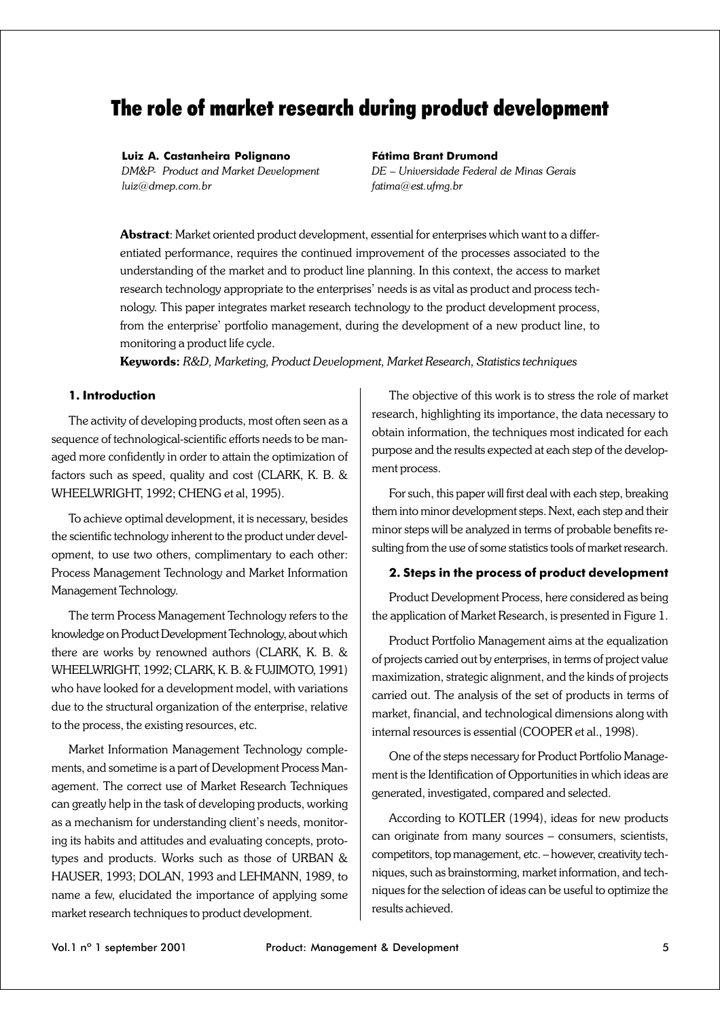# The role of market research during product development

#### **Luiz A. Castanheira Polignano**

*DM&P- Product and Market Development luiz@dmep.com.br*

#### **Fátima Brant Drumond**

*DE – Universidade Federal de Minas Gerais fatima@est.ufmg.br*

**Abstract**: Market oriented product development, essential for enterprises which want to a differentiated performance, requires the continued improvement of the processes associated to the understanding of the market and to product line planning. In this context, the access to market research technology appropriate to the enterprises' needs is as vital as product and process technology. This paper integrates market research technology to the product development process, from the enterprise' portfolio management, during the development of a new product line, to monitoring a product life cycle.

**Keywords:** *R&D, Marketing, Product Development, Market Research, Statistics techniques*

### **1. Introduction**

The activity of developing products, most often seen as a sequence of technological-scientific efforts needs to be managed more confidently in order to attain the optimization of factors such as speed, quality and cost (CLARK, K. B. & WHEELWRIGHT, 1992; CHENG et al, 1995).

To achieve optimal development, it is necessary, besides the scientific technology inherent to the product under development, to use two others, complimentary to each other: Process Management Technology and Market Information Management Technology.

The term Process Management Technology refers to the knowledge on Product Development Technology, about which there are works by renowned authors (CLARK, K. B. & WHEELWRIGHT, 1992; CLARK, K. B. & FUJIMOTO, 1991) who have looked for a development model, with variations due to the structural organization of the enterprise, relative to the process, the existing resources, etc.

Market Information Management Technology complements, and sometime is a part of Development Process Management. The correct use of Market Research Techniques can greatly help in the task of developing products, working as a mechanism for understanding client's needs, monitoring its habits and attitudes and evaluating concepts, prototypes and products. Works such as those of URBAN & HAUSER, 1993; DOLAN, 1993 and LEHMANN, 1989, to name a few, elucidated the importance of applying some market research techniques to product development.

The objective of this work is to stress the role of market research, highlighting its importance, the data necessary to obtain information, the techniques most indicated for each purpose and the results expected at each step of the development process.

For such, this paper will first deal with each step, breaking them into minor development steps. Next, each step and their minor steps will be analyzed in terms of probable benefits resulting from the use of some statistics tools of market research.

#### **2. Steps in the process of product development**

Product Development Process, here considered as being the application of Market Research, is presented in Figure 1.

Product Portfolio Management aims at the equalization of projects carried out by enterprises, in terms of project value maximization, strategic alignment, and the kinds of projects carried out. The analysis of the set of products in terms of market, financial, and technological dimensions along with internal resources is essential (COOPER et al., 1998).

One of the steps necessary for Product Portfolio Management is the Identification of Opportunities in which ideas are generated, investigated, compared and selected.

According to KOTLER (1994), ideas for new products can originate from many sources – consumers, scientists, competitors, top management, etc. – however, creativity techniques, such as brainstorming, market information, and techniques for the selection of ideas can be useful to optimize the results achieved.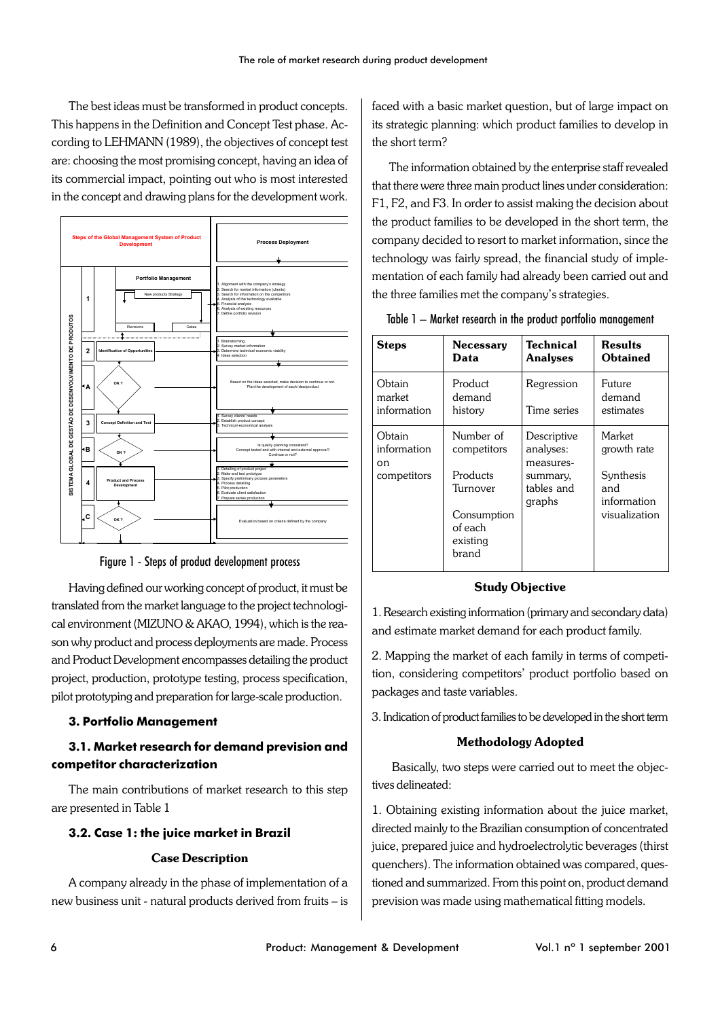The best ideas must be transformed in product concepts. This happens in the Definition and Concept Test phase. According to LEHMANN (1989), the objectives of concept test are: choosing the most promising concept, having an idea of its commercial impact, pointing out who is most interested in the concept and drawing plans for the development work.



Figure 1 - Steps of product development process

Having defined our working concept of product, it must be translated from the market language to the project technological environment (MIZUNO & AKAO, 1994), which is the reason why product and process deployments are made. Process and Product Development encompasses detailing the product project, production, prototype testing, process specification, pilot prototyping and preparation for large-scale production.

### **3. Portfolio Management**

# **3.1. Market research for demand prevision and competitor characterization**

The main contributions of market research to this step are presented in Table 1

#### **3.2. Case 1: the juice market in Brazil**

### **Case Description**

A company already in the phase of implementation of a new business unit - natural products derived from fruits – is faced with a basic market question, but of large impact on its strategic planning: which product families to develop in the short term?

The information obtained by the enterprise staff revealed that there were three main product lines under consideration: F1, F2, and F3. In order to assist making the decision about the product families to be developed in the short term, the company decided to resort to market information, since the technology was fairly spread, the financial study of implementation of each family had already been carried out and the three families met the company's strategies.

| Table 1 – Market research in the product portfolio management |  |  |
|---------------------------------------------------------------|--|--|
|---------------------------------------------------------------|--|--|

| <b>Steps</b>                               | <b>Necessary</b><br>Data                                                                        | Technical<br><b>Analyses</b>                                              | Results<br>Obtained                                                       |
|--------------------------------------------|-------------------------------------------------------------------------------------------------|---------------------------------------------------------------------------|---------------------------------------------------------------------------|
| Obtain<br>market<br>information            | Product<br>demand<br>history                                                                    | Regression<br>Time series                                                 | Future<br>demand<br>estimates                                             |
| Obtain<br>information<br>on<br>competitors | Number of<br>competitors<br>Products<br>Turnover<br>Consumption<br>of each<br>existing<br>brand | Descriptive<br>analyses:<br>measures-<br>summary,<br>tables and<br>graphs | Market<br>growth rate<br>Synthesis<br>and<br>information<br>visualization |

#### **Study Objective**

1. Research existing information (primary and secondary data) and estimate market demand for each product family.

2. Mapping the market of each family in terms of competition, considering competitors' product portfolio based on packages and taste variables.

3. Indication of product families to be developed in the short term

### **Methodology Adopted**

 Basically, two steps were carried out to meet the objectives delineated:

1. Obtaining existing information about the juice market, directed mainly to the Brazilian consumption of concentrated juice, prepared juice and hydroelectrolytic beverages (thirst quenchers). The information obtained was compared, questioned and summarized. From this point on, product demand prevision was made using mathematical fitting models.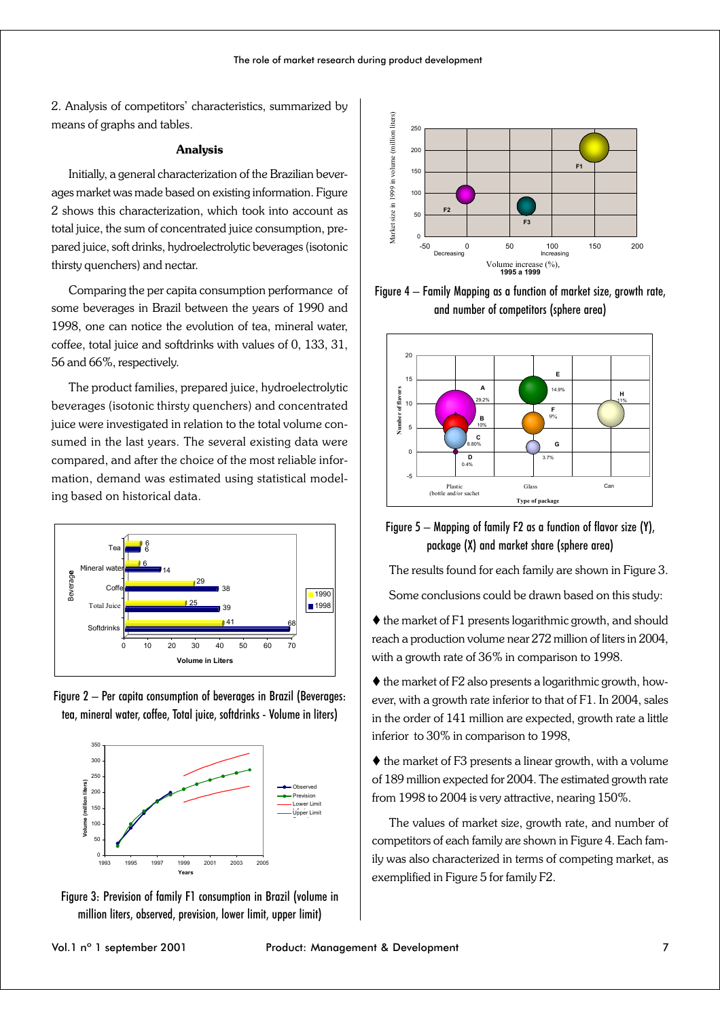2. Analysis of competitors' characteristics, summarized by means of graphs and tables.

#### **Analysis**

Initially, a general characterization of the Brazilian beverages market was made based on existing information. Figure 2 shows this characterization, which took into account as total juice, the sum of concentrated juice consumption, prepared juice, soft drinks, hydroelectrolytic beverages (isotonic thirsty quenchers) and nectar.

Comparing the per capita consumption performance of some beverages in Brazil between the years of 1990 and 1998, one can notice the evolution of tea, mineral water, coffee, total juice and softdrinks with values of 0, 133, 31, 56 and 66%, respectively.

The product families, prepared juice, hydroelectrolytic beverages (isotonic thirsty quenchers) and concentrated juice were investigated in relation to the total volume consumed in the last years. The several existing data were compared, and after the choice of the most reliable information, demand was estimated using statistical modeling based on historical data.



Figure 2 – Per capita consumption of beverages in Brazil (Beverages: tea, mineral water, coffee, Total juice, softdrinks - Volume in liters)



Figure 3: Prevision of family F1 consumption in Brazil (volume in million liters, observed, prevision, lower limit, upper limit)



Figure 4 – Family Mapping as a function of market size, growth rate, and number of competitors (sphere area)



Figure 5 – Mapping of family F2 as a function of flavor size (Y), package (X) and market share (sphere area)

The results found for each family are shown in Figure 3.

Some conclusions could be drawn based on this study:

 $\blacklozenge$  the market of F1 presents logarithmic growth, and should reach a production volume near 272 million of liters in 2004, with a growth rate of 36% in comparison to 1998.

 $\blacklozenge$  the market of F2 also presents a logarithmic growth, however, with a growth rate inferior to that of F1. In 2004, sales in the order of 141 million are expected, growth rate a little inferior to 30% in comparison to 1998,

 $\blacklozenge$  the market of F3 presents a linear growth, with a volume of 189 million expected for 2004. The estimated growth rate from 1998 to 2004 is very attractive, nearing 150%.

The values of market size, growth rate, and number of competitors of each family are shown in Figure 4. Each family was also characterized in terms of competing market, as exemplified in Figure 5 for family F2.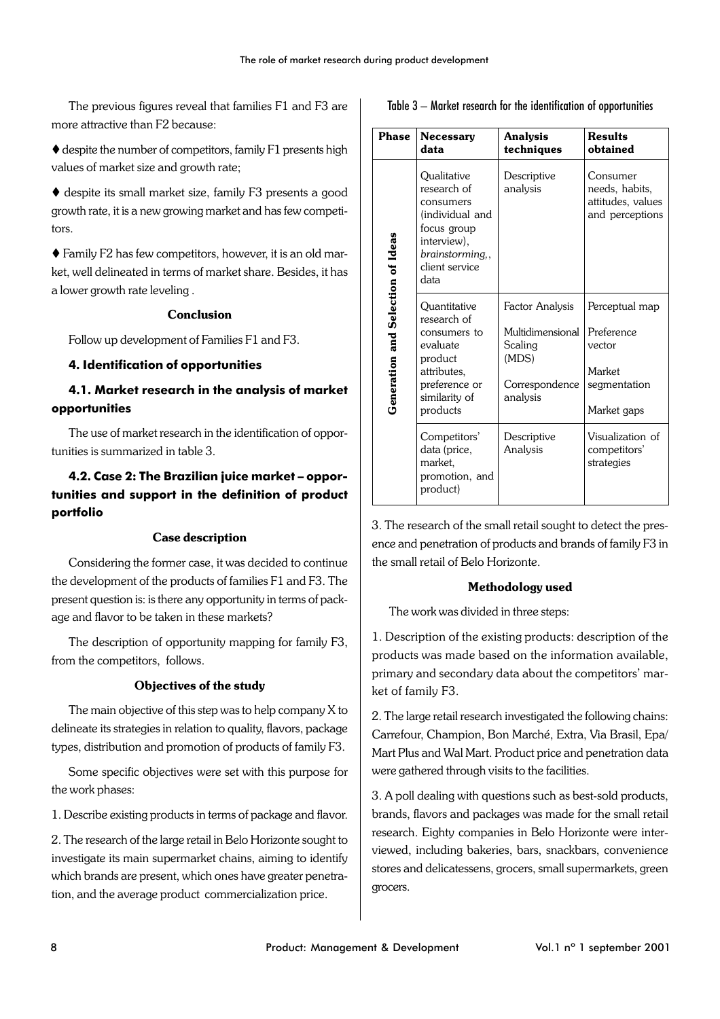The previous figures reveal that families F1 and F3 are more attractive than F2 because:

 $\blacklozenge$  despite the number of competitors, family F1 presents high values of market size and growth rate;

 $\blacklozenge$  despite its small market size, family F3 presents a good growth rate, it is a new growing market and has few competitors.

 Family F2 has few competitors, however, it is an old market, well delineated in terms of market share. Besides, it has a lower growth rate leveling .

### **Conclusion**

Follow up development of Families F1 and F3.

### **4. Identification of opportunities**

# **4.1. Market research in the analysis of market opportunities**

The use of market research in the identification of opportunities is summarized in table 3.

# **4.2. Case 2: The Brazilian juice market – opportunities and support in the definition of product portfolio**

### **Case description**

Considering the former case, it was decided to continue the development of the products of families F1 and F3. The present question is: is there any opportunity in terms of package and flavor to be taken in these markets?

The description of opportunity mapping for family F3, from the competitors, follows.

### **Objectives of the study**

The main objective of this step was to help company X to delineate its strategies in relation to quality, flavors, package types, distribution and promotion of products of family F3.

Some specific objectives were set with this purpose for the work phases:

1. Describe existing products in terms of package and flavor.

2. The research of the large retail in Belo Horizonte sought to investigate its main supermarket chains, aiming to identify which brands are present, which ones have greater penetration, and the average product commercialization price.

| Table 3 – Market research for the identification of opportunities |  |  |  |
|-------------------------------------------------------------------|--|--|--|
|-------------------------------------------------------------------|--|--|--|

| Phase                             | <b>Necessary</b><br>data                                                                                                              | <b>Analysis</b><br>techniques | <b>Results</b><br>obtained                                         |
|-----------------------------------|---------------------------------------------------------------------------------------------------------------------------------------|-------------------------------|--------------------------------------------------------------------|
| Generation and Selection of Ideas | Qualitative<br>research of<br>consumers<br>(individual and<br>focus group<br>interview),<br>brainstorming,,<br>client service<br>data | Descriptive<br>analysis       | Consumer<br>needs, habits,<br>attitudes, values<br>and perceptions |
|                                   | Ouantitative<br>research of                                                                                                           | Factor Analysis               | Perceptual map                                                     |
|                                   | consumers to                                                                                                                          | Multidimensional              | Preference                                                         |
|                                   | evaluate<br>product                                                                                                                   | Scaling<br>(MDS)              | vector                                                             |
|                                   | attributes,                                                                                                                           |                               | Market                                                             |
|                                   | preference or<br>similarity of                                                                                                        | Correspondence<br>analysis    | segmentation                                                       |
|                                   | products                                                                                                                              |                               | Market gaps                                                        |
|                                   | Competitors'<br>data (price,<br>market.<br>promotion, and<br>product)                                                                 | Descriptive<br>Analysis       | Visualization of<br>competitors'<br>strategies                     |

3. The research of the small retail sought to detect the presence and penetration of products and brands of family F3 in the small retail of Belo Horizonte.

### **Methodology used**

The work was divided in three steps:

1. Description of the existing products: description of the products was made based on the information available, primary and secondary data about the competitors' market of family F3.

2. The large retail research investigated the following chains: Carrefour, Champion, Bon Marché, Extra, Via Brasil, Epa/ Mart Plus and Wal Mart. Product price and penetration data were gathered through visits to the facilities.

3. A poll dealing with questions such as best-sold products, brands, flavors and packages was made for the small retail research. Eighty companies in Belo Horizonte were interviewed, including bakeries, bars, snackbars, convenience stores and delicatessens, grocers, small supermarkets, green grocers.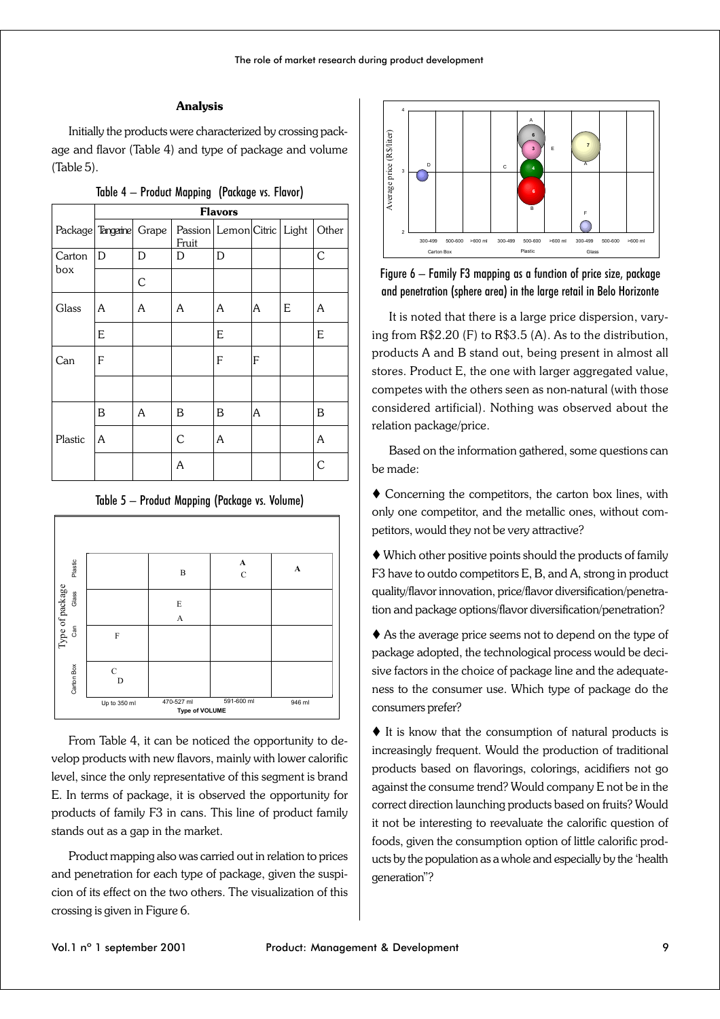### **Analysis**

Initially the products were characterized by crossing package and flavor (Table 4) and type of package and volume (Table 5).

|                         | <b>Flavors</b> |   |                                            |   |   |   |       |
|-------------------------|----------------|---|--------------------------------------------|---|---|---|-------|
| Package Tangerine Grape |                |   | Passion Lemon Citric Light<br><b>Fruit</b> |   |   |   | Other |
| Carton<br>box           | D              | D | D                                          | D |   |   | C     |
|                         |                | C |                                            |   |   |   |       |
| Glass                   | A              | A | A                                          | A | A | E | A     |
|                         | E              |   |                                            | E |   |   | E     |
| Can                     | F              |   |                                            | F | F |   |       |
|                         |                |   |                                            |   |   |   |       |
|                         | B              | A | B                                          | B | A |   | B     |
| Plastic                 | A              |   | C                                          | A |   |   | A     |
|                         |                |   | A                                          |   |   |   | C     |
|                         |                |   |                                            |   |   |   |       |

| Table 4 - Product Mapping (Package vs. Flavor) |  |  |  |  |  |
|------------------------------------------------|--|--|--|--|--|
|------------------------------------------------|--|--|--|--|--|

| Table 5 — Product Mapping (Package vs. Volume) |  |  |
|------------------------------------------------|--|--|
|------------------------------------------------|--|--|



From Table 4, it can be noticed the opportunity to develop products with new flavors, mainly with lower calorific level, since the only representative of this segment is brand E. In terms of package, it is observed the opportunity for products of family F3 in cans. This line of product family stands out as a gap in the market.

Product mapping also was carried out in relation to prices and penetration for each type of package, given the suspicion of its effect on the two others. The visualization of this crossing is given in Figure 6.



Figure 6 – Family F3 mapping as a function of price size, package and penetration (sphere area) in the large retail in Belo Horizonte

It is noted that there is a large price dispersion, varying from R\$2.20 (F) to R\$3.5 (A). As to the distribution, products A and B stand out, being present in almost all stores. Product E, the one with larger aggregated value, competes with the others seen as non-natural (with those considered artificial). Nothing was observed about the relation package/price.

Based on the information gathered, some questions can be made:

 Concerning the competitors, the carton box lines, with only one competitor, and the metallic ones, without competitors, would they not be very attractive?

 Which other positive points should the products of family F3 have to outdo competitors E, B, and A, strong in product quality/flavor innovation, price/flavor diversification/penetration and package options/flavor diversification/penetration?

 As the average price seems not to depend on the type of package adopted, the technological process would be decisive factors in the choice of package line and the adequateness to the consumer use. Which type of package do the consumers prefer?

 $\blacklozenge$  It is know that the consumption of natural products is increasingly frequent. Would the production of traditional products based on flavorings, colorings, acidifiers not go against the consume trend? Would company E not be in the correct direction launching products based on fruits? Would it not be interesting to reevaluate the calorific question of foods, given the consumption option of little calorific products by the population as a whole and especially by the 'health generation"?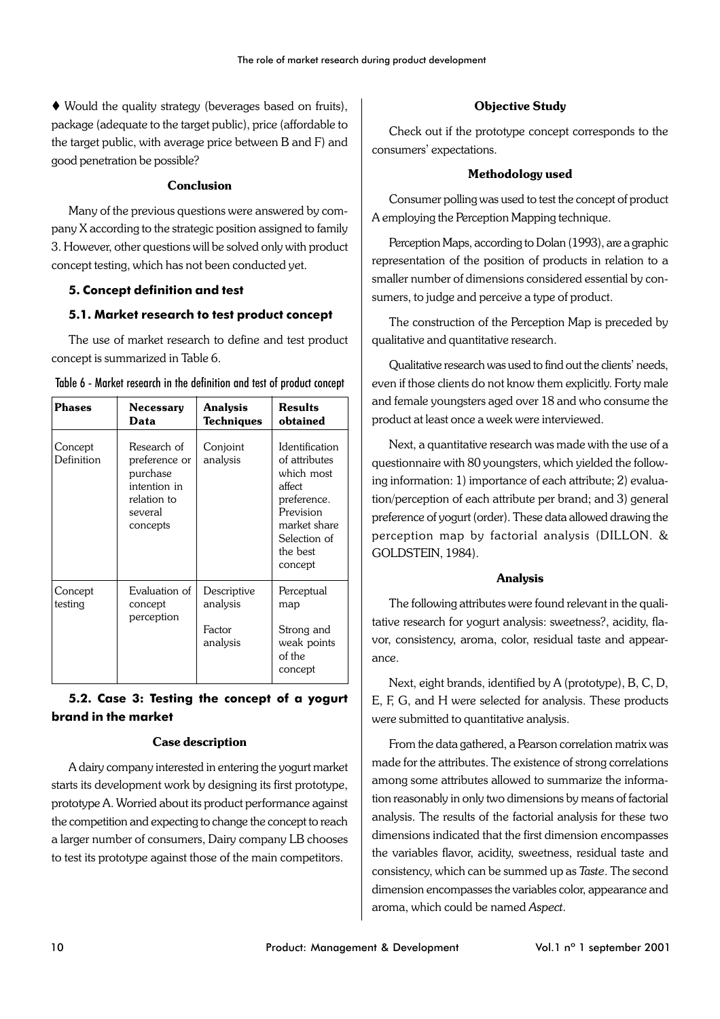Would the quality strategy (beverages based on fruits), package (adequate to the target public), price (affordable to the target public, with average price between B and F) and good penetration be possible?

### **Conclusion**

Many of the previous questions were answered by company X according to the strategic position assigned to family 3. However, other questions will be solved only with product concept testing, which has not been conducted yet.

# **5. Concept definition and test**

# **5.1. Market research to test product concept**

The use of market research to define and test product concept is summarized in Table 6.

| <b>Phases</b>         | <b>Necessary</b><br>Data                                                                       | <b>Analysis</b><br>Techniques                 | <b>Results</b><br>obtained                                                                                                                        |
|-----------------------|------------------------------------------------------------------------------------------------|-----------------------------------------------|---------------------------------------------------------------------------------------------------------------------------------------------------|
| Concept<br>Definition | Research of<br>preference or<br>purchase<br>intention in<br>relation to<br>several<br>concepts | Conjoint<br>analysis                          | <b>Identification</b><br>of attributes<br>which most<br>affect<br>preference.<br>Prevision<br>market share<br>Selection of<br>the best<br>concept |
| Concept<br>testing    | Evaluation of<br>concept<br>perception                                                         | Descriptive<br>analysis<br>Factor<br>analysis | Perceptual<br>map<br>Strong and<br>weak points<br>of the<br>concept                                                                               |

| Table 6 - Market research in the definition and test of product concept |  |  |  |  |  |  |
|-------------------------------------------------------------------------|--|--|--|--|--|--|
|-------------------------------------------------------------------------|--|--|--|--|--|--|

# **5.2. Case 3: Testing the concept of a yogurt brand in the market**

# **Case description**

A dairy company interested in entering the yogurt market starts its development work by designing its first prototype, prototype A. Worried about its product performance against the competition and expecting to change the concept to reach a larger number of consumers, Dairy company LB chooses to test its prototype against those of the main competitors.

# **Objective Study**

Check out if the prototype concept corresponds to the consumers' expectations.

# **Methodology used**

Consumer polling was used to test the concept of product A employing the Perception Mapping technique.

Perception Maps, according to Dolan (1993), are a graphic representation of the position of products in relation to a smaller number of dimensions considered essential by consumers, to judge and perceive a type of product.

The construction of the Perception Map is preceded by qualitative and quantitative research.

Qualitative research was used to find out the clients' needs, even if those clients do not know them explicitly. Forty male and female youngsters aged over 18 and who consume the product at least once a week were interviewed.

Next, a quantitative research was made with the use of a questionnaire with 80 youngsters, which yielded the following information: 1) importance of each attribute; 2) evaluation/perception of each attribute per brand; and 3) general preference of yogurt (order). These data allowed drawing the perception map by factorial analysis (DILLON. & GOLDSTEIN, 1984).

### **Analysis**

The following attributes were found relevant in the qualitative research for yogurt analysis: sweetness?, acidity, flavor, consistency, aroma, color, residual taste and appearance.

Next, eight brands, identified by A (prototype), B, C, D, E, F, G, and H were selected for analysis. These products were submitted to quantitative analysis.

From the data gathered, a Pearson correlation matrix was made for the attributes. The existence of strong correlations among some attributes allowed to summarize the information reasonably in only two dimensions by means of factorial analysis. The results of the factorial analysis for these two dimensions indicated that the first dimension encompasses the variables flavor, acidity, sweetness, residual taste and consistency, which can be summed up as *Taste*. The second dimension encompasses the variables color, appearance and aroma, which could be named *Aspect*.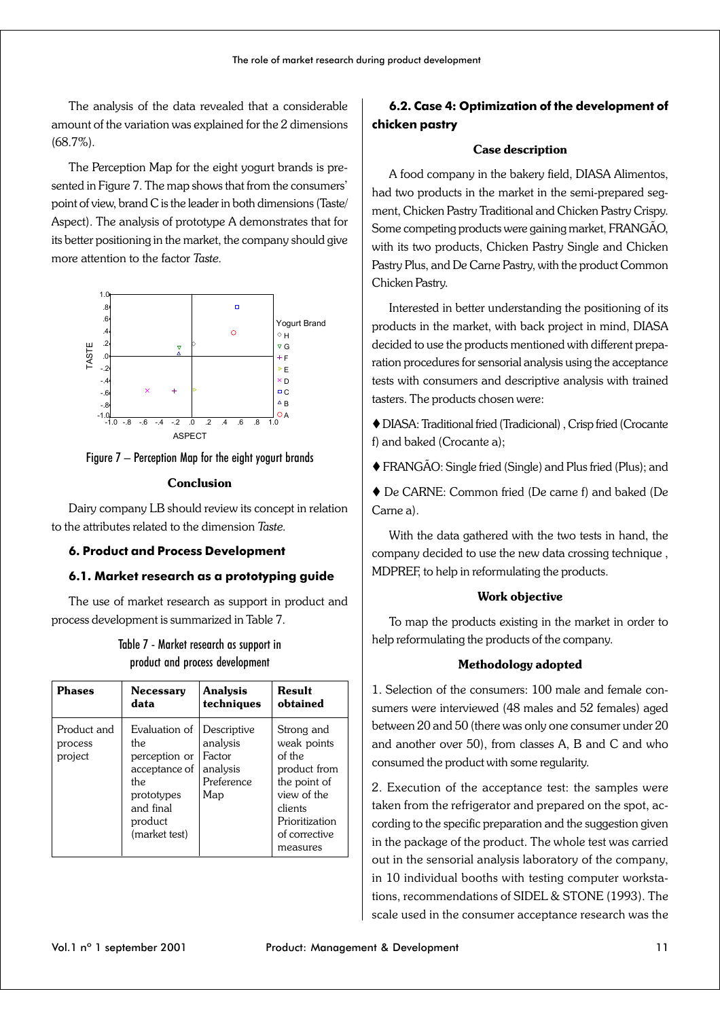The analysis of the data revealed that a considerable amount of the variation was explained for the 2 dimensions (68.7%).

The Perception Map for the eight yogurt brands is presented in Figure 7. The map shows that from the consumers' point of view, brand C is the leader in both dimensions (Taste/ Aspect). The analysis of prototype A demonstrates that for its better positioning in the market, the company should give more attention to the factor *Taste.*





#### **Conclusion**

Dairy company LB should review its concept in relation to the attributes related to the dimension *Taste.*

### **6. Product and Process Development**

### **6.1. Market research as a prototyping guide**

The use of market research as support in product and process development is summarized in Table 7.

# Table 7 - Market research as support in product and process development

| Phases                            | <b>Necessary</b>                                                                                                      | <b>Analysis</b>                                                    | <b>Result</b>                                                                                                                                |
|-----------------------------------|-----------------------------------------------------------------------------------------------------------------------|--------------------------------------------------------------------|----------------------------------------------------------------------------------------------------------------------------------------------|
|                                   | data                                                                                                                  | techniques                                                         | obtained                                                                                                                                     |
| Product and<br>process<br>project | Evaluation of<br>the.<br>perception or<br>acceptance of<br>the<br>prototypes<br>and final<br>product<br>(market test) | Descriptive<br>analysis<br>Factor<br>analysis<br>Preference<br>Map | Strong and<br>weak points<br>of the<br>product from<br>the point of<br>view of the<br>clients<br>Prioritization<br>of corrective<br>measures |

# **6.2. Case 4: Optimization of the development of chicken pastry**

#### **Case description**

A food company in the bakery field, DIASA Alimentos, had two products in the market in the semi-prepared segment, Chicken Pastry Traditional and Chicken Pastry Crispy. Some competing products were gaining market, FRANGÃO, with its two products, Chicken Pastry Single and Chicken Pastry Plus, and De Carne Pastry, with the product Common Chicken Pastry.

Interested in better understanding the positioning of its products in the market, with back project in mind, DIASA decided to use the products mentioned with different preparation procedures for sensorial analysis using the acceptance tests with consumers and descriptive analysis with trained tasters. The products chosen were:

 DIASA: Traditional fried (Tradicional) , Crisp fried (Crocante f) and baked (Crocante a);

FRANGÃO: Single fried (Single) and Plus fried (Plus); and

 De CARNE: Common fried (De carne f) and baked (De Carne a).

With the data gathered with the two tests in hand, the company decided to use the new data crossing technique , MDPREF, to help in reformulating the products.

#### **Work objective**

To map the products existing in the market in order to help reformulating the products of the company.

#### **Methodology adopted**

1. Selection of the consumers: 100 male and female consumers were interviewed (48 males and 52 females) aged between 20 and 50 (there was only one consumer under 20 and another over 50), from classes A, B and C and who consumed the product with some regularity.

2. Execution of the acceptance test: the samples were taken from the refrigerator and prepared on the spot, according to the specific preparation and the suggestion given in the package of the product. The whole test was carried out in the sensorial analysis laboratory of the company, in 10 individual booths with testing computer workstations, recommendations of SIDEL & STONE (1993). The scale used in the consumer acceptance research was the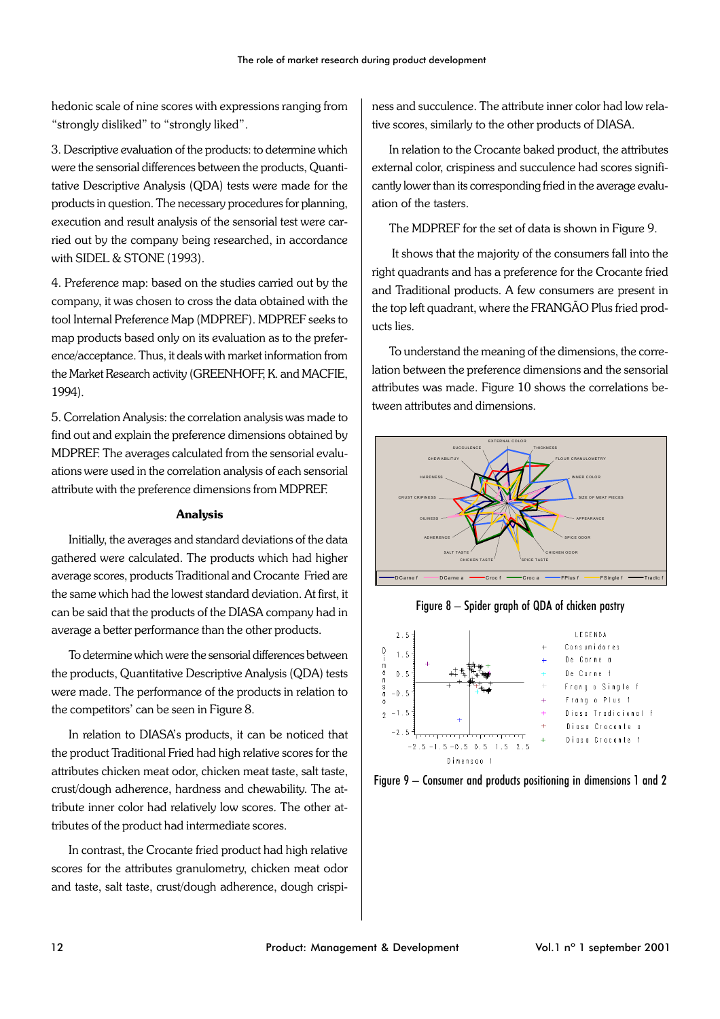hedonic scale of nine scores with expressions ranging from "strongly disliked" to "strongly liked".

3. Descriptive evaluation of the products: to determine which were the sensorial differences between the products, Quantitative Descriptive Analysis (QDA) tests were made for the products in question. The necessary procedures for planning, execution and result analysis of the sensorial test were carried out by the company being researched, in accordance with SIDEL & STONE (1993).

4. Preference map: based on the studies carried out by the company, it was chosen to cross the data obtained with the tool Internal Preference Map (MDPREF). MDPREF seeks to map products based only on its evaluation as to the preference/acceptance. Thus, it deals with market information from the Market Research activity (GREENHOFF, K. and MACFIE, 1994).

5. Correlation Analysis: the correlation analysis was made to find out and explain the preference dimensions obtained by MDPREF. The averages calculated from the sensorial evaluations were used in the correlation analysis of each sensorial attribute with the preference dimensions from MDPREF.

#### **Analysis**

Initially, the averages and standard deviations of the data gathered were calculated. The products which had higher average scores, products Traditional and Crocante Fried are the same which had the lowest standard deviation. At first, it can be said that the products of the DIASA company had in average a better performance than the other products.

To determine which were the sensorial differences between the products, Quantitative Descriptive Analysis (QDA) tests were made. The performance of the products in relation to the competitors' can be seen in Figure 8.

In relation to DIASA's products, it can be noticed that the product Traditional Fried had high relative scores for the attributes chicken meat odor, chicken meat taste, salt taste, crust/dough adherence, hardness and chewability. The attribute inner color had relatively low scores. The other attributes of the product had intermediate scores.

In contrast, the Crocante fried product had high relative scores for the attributes granulometry, chicken meat odor and taste, salt taste, crust/dough adherence, dough crispiness and succulence. The attribute inner color had low relative scores, similarly to the other products of DIASA.

In relation to the Crocante baked product, the attributes external color, crispiness and succulence had scores significantly lower than its corresponding fried in the average evaluation of the tasters.

The MDPREF for the set of data is shown in Figure 9.

 It shows that the majority of the consumers fall into the right quadrants and has a preference for the Crocante fried and Traditional products. A few consumers are present in the top left quadrant, where the FRANGÃO Plus fried products lies.

To understand the meaning of the dimensions, the correlation between the preference dimensions and the sensorial attributes was made. Figure 10 shows the correlations between attributes and dimensions.



Figure 8 – Spider graph of QDA of chicken pastry



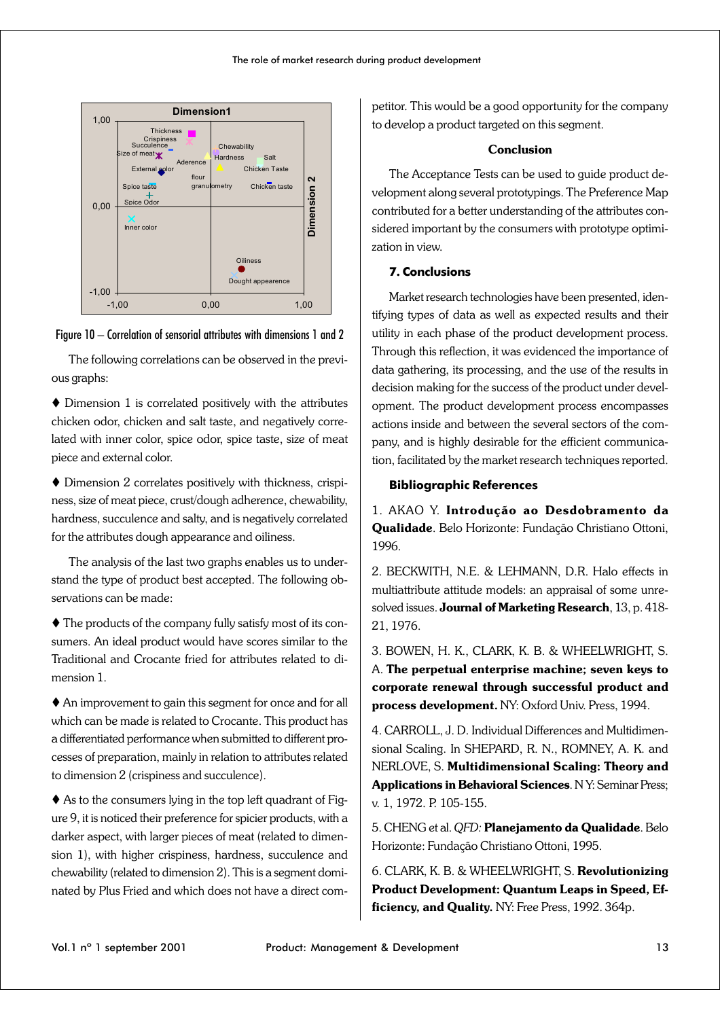



The following correlations can be observed in the previous graphs:

 Dimension 1 is correlated positively with the attributes chicken odor, chicken and salt taste, and negatively correlated with inner color, spice odor, spice taste, size of meat piece and external color.

 Dimension 2 correlates positively with thickness, crispiness, size of meat piece, crust/dough adherence, chewability, hardness, succulence and salty, and is negatively correlated for the attributes dough appearance and oiliness.

The analysis of the last two graphs enables us to understand the type of product best accepted. The following observations can be made:

 The products of the company fully satisfy most of its consumers. An ideal product would have scores similar to the Traditional and Crocante fried for attributes related to dimension 1.

 An improvement to gain this segment for once and for all which can be made is related to Crocante. This product has a differentiated performance when submitted to different processes of preparation, mainly in relation to attributes related to dimension 2 (crispiness and succulence).

 $\blacklozenge$  As to the consumers lying in the top left quadrant of Figure 9, it is noticed their preference for spicier products, with a darker aspect, with larger pieces of meat (related to dimension 1), with higher crispiness, hardness, succulence and chewability (related to dimension 2). This is a segment dominated by Plus Fried and which does not have a direct competitor. This would be a good opportunity for the company to develop a product targeted on this segment.

#### **Conclusion**

The Acceptance Tests can be used to guide product development along several prototypings. The Preference Map contributed for a better understanding of the attributes considered important by the consumers with prototype optimization in view.

### **7. Conclusions**

Market research technologies have been presented, identifying types of data as well as expected results and their utility in each phase of the product development process. Through this reflection, it was evidenced the importance of data gathering, its processing, and the use of the results in decision making for the success of the product under development. The product development process encompasses actions inside and between the several sectors of the company, and is highly desirable for the efficient communication, facilitated by the market research techniques reported.

### **Bibliographic References**

1. AKAO Y. **Introdução ao Desdobramento da Qualidade**. Belo Horizonte: Fundação Christiano Ottoni, 1996.

2. BECKWITH, N.E. & LEHMANN, D.R. Halo effects in multiattribute attitude models: an appraisal of some unresolved issues. **Journal of Marketing Research**, 13, p. 418- 21, 1976.

3. BOWEN, H. K., CLARK, K. B. & WHEELWRIGHT, S. A. **The perpetual enterprise machine; seven keys to corporate renewal through successful product and process development.** NY: Oxford Univ. Press, 1994.

4. CARROLL, J. D. Individual Differences and Multidimensional Scaling. In SHEPARD, R. N., ROMNEY, A. K. and NERLOVE, S. **Multidimensional Scaling: Theory and Applications in Behavioral Sciences**. N Y: Seminar Press; v. 1, 1972. P. 105-155.

5. CHENG et al. *QFD:* **Planejamento da Qualidade**. Belo Horizonte: Fundação Christiano Ottoni, 1995.

6. CLARK, K. B. & WHEELWRIGHT, S. **Revolutionizing Product Development: Quantum Leaps in Speed, Efficiency, and Quality.** NY: Free Press, 1992. 364p.